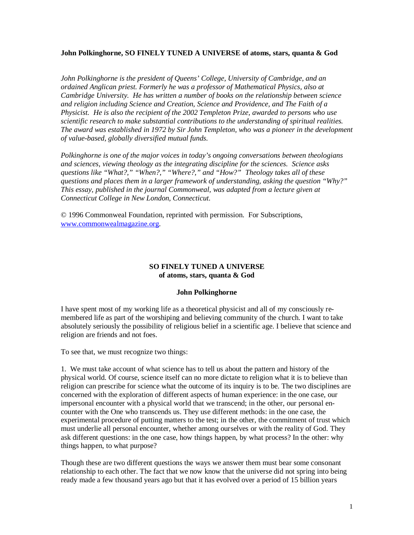## **John Polkinghorne, SO FINELY TUNED A UNIVERSE of atoms, stars, quanta & God**

*John Polkinghorne is the president of Queens' College, University of Cambridge, and an ordained Anglican priest. Formerly he was a professor of Mathematical Physics, also at Cambridge University. He has written a number of books on the relationship between science and religion including Science and Creation, Science and Providence, and The Faith of a Physicist. He is also the recipient of the 2002 Templeton Prize, awarded to persons who use scientific research to make substantial contributions to the understanding of spiritual realities. The award was established in 1972 by Sir John Templeton, who was a pioneer in the development of value-based, globally diversified mutual funds.* 

*Polkinghorne is one of the major voices in today's ongoing conversations between theologians and sciences, viewing theology as the integrating discipline for the sciences. Science asks questions like "What?," "When?," "Where?," and "How?" Theology takes all of these questions and places them in a larger framework of understanding, asking the question "Why?" This essay, published in the journal Commonweal, was adapted from a lecture given at Connecticut College in New London, Connecticut.*

© 1996 Commonweal Foundation, reprinted with permission. For Subscriptions, [www.commonwealmagazine.org.](http://www.commonwealmagazine.org/)

## **SO FINELY TUNED A UNIVERSE of atoms, stars, quanta & God**

## **John Polkinghorne**

I have spent most of my working life as a theoretical physicist and all of my consciously remembered life as part of the worshiping and believing community of the church. I want to take absolutely seriously the possibility of religious belief in a scientific age. I believe that science and religion are friends and not foes.

To see that, we must recognize two things:

1. We must take account of what science has to tell us about the pattern and history of the physical world. Of course, science itself can no more dictate to religion what it is to believe than religion can prescribe for science what the outcome of its inquiry is to be. The two disciplines are concerned with the exploration of different aspects of human experience: in the one case, our impersonal encounter with a physical world that we transcend; in the other, our personal encounter with the One who transcends us. They use different methods: in the one case, the experimental procedure of putting matters to the test; in the other, the commitment of trust which must underlie all personal encounter, whether among ourselves or with the reality of God. They ask different questions: in the one case, how things happen, by what process? In the other: why things happen, to what purpose?

Though these are two different questions the ways we answer them must bear some consonant relationship to each other. The fact that we now know that the universe did not spring into being ready made a few thousand years ago but that it has evolved over a period of 15 billion years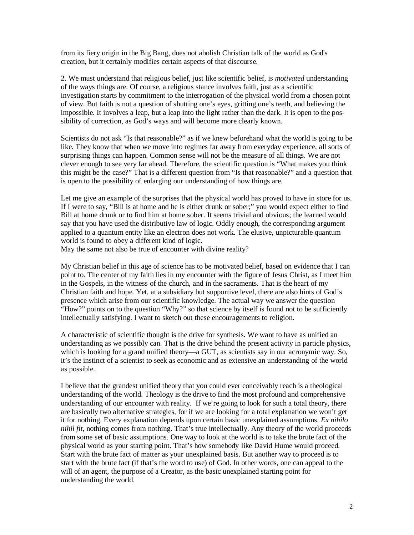from its fiery origin in the Big Bang, does not abolish Christian talk of the world as God's creation, but it certainly modifies certain aspects of that discourse.

2. We must understand that religious belief, just like scientific belief, is *motivated* understanding of the ways things are. Of course, a religious stance involves faith, just as a scientific investigation starts by commitment to the interrogation of the physical world from a chosen point of view. But faith is not a question of shutting one's eyes, gritting one's teeth, and believing the impossible. It involves a leap, but a leap into the light rather than the dark. It is open to the possibility of correction, as God's ways and will become more clearly known.

Scientists do not ask "Is that reasonable?" as if we knew beforehand what the world is going to be like. They know that when we move into regimes far away from everyday experience, all sorts of surprising things can happen. Common sense will not be the measure of all things. We are not clever enough to see very far ahead. Therefore, the scientific question is "What makes you think this might be the case?" That is a different question from "Is that reasonable?" and a question that is open to the possibility of enlarging our understanding of how things are.

Let me give an example of the surprises that the physical world has proved to have in store for us. If I were to say, "Bill is at home and he is either drunk or sober;" you would expect either to find Bill at home drunk or to find him at home sober. It seems trivial and obvious; the learned would say that you have used the distributive law of logic. Oddly enough, the corresponding argument applied to a quantum entity like an electron does not work. The elusive, unpicturable quantum world is found to obey a different kind of logic.

May the same not also be true of encounter with divine reality?

My Christian belief in this age of science has to be motivated belief, based on evidence that I can point to. The center of my faith lies in my encounter with the figure of Jesus Christ, as I meet him in the Gospels, in the witness of the church, and in the sacraments. That is the heart of my Christian faith and hope. Yet, at a subsidiary but supportive level, there are also hints of God's presence which arise from our scientific knowledge. The actual way we answer the question "How?" points on to the question "Why?" so that science by itself is found not to be sufficiently intellectually satisfying. I want to sketch out these encouragements to religion.

A characteristic of scientific thought is the drive for synthesis. We want to have as unified an understanding as we possibly can. That is the drive behind the present activity in particle physics, which is looking for a grand unified theory—a GUT, as scientists say in our acronymic way. So, it's the instinct of a scientist to seek as economic and as extensive an understanding of the world as possible.

I believe that the grandest unified theory that you could ever conceivably reach is a theological understanding of the world. Theology is the drive to find the most profound and comprehensive understanding of our encounter with reality. If we're going to look for such a total theory, there are basically two alternative strategies, for if we are looking for a total explanation we won't get it for nothing. Every explanation depends upon certain basic unexplained assumptions. *Ex nihilo nihil fit*, nothing comes from nothing. That's true intellectually. Any theory of the world proceeds from some set of basic assumptions. One way to look at the world is to take the brute fact of the physical world as your starting point. That's how somebody like David Hume would proceed. Start with the brute fact of matter as your unexplained basis. But another way to proceed is to start with the brute fact (if that's the word to use) of God. In other words, one can appeal to the will of an agent, the purpose of a Creator, as the basic unexplained starting point for understanding the world.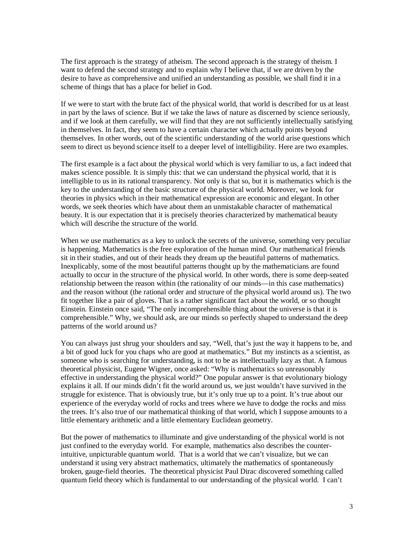The first approach is the strategy of atheism. The second approach is the strategy of theism. I want to defend the second strategy and to explain why I believe that, if we are driven by the desire to have as comprehensive and unified an understanding as possible, we shall find it in a scheme of things that has a place for belief in God.

If we were to start with the brute fact of the physical world, that world is described for us at least in part by the laws of science. But if we take the laws of nature as discerned by science seriously, and if we look at them carefully, we will find that they are not sufficiently intellectually satisfying in themselves. In fact, they seem to have a certain character which actually points beyond themselves. In other words, out of the scientific understanding of the world arise questions which seem to direct us beyond science itself to a deeper level of intelligibility. Here are two examples.

The first example is a fact about the physical world which is very familiar to us, a fact indeed that makes science possible. It is simply this: that we can understand the physical world, that it is intelligible to us in its rational transparency. Not only is that so, but it is mathematics which is the key to the understanding of the basic structure of the physical world. Moreover, we look for theories in physics which in their mathematical expression are economic and elegant. In other words, we seek theories which have about them an unmistakable character of mathematical beauty. It is our expectation that it is precisely theories characterized by mathematical beauty which will describe the structure of the world.

When we use mathematics as a key to unlock the secrets of the universe, something very peculiar is happening. Mathematics is the free exploration of the human mind. Our mathematical friends sit in their studies, and out of their heads they dream up the beautiful patterns of mathematics. Inexplicably, some of the most beautiful patterns thought up by the mathematicians are found actually to occur in the structure of the physical world. In other words, there is some deep-seated relationship between the reason within (the rationality of our minds—in this case mathematics) and the reason without (the rational order and structure of the physical world around us). The two fit together like a pair of gloves. That is a rather significant fact about the world, or so thought Einstein. Einstein once said, "The only incomprehensible thing about the universe is that it is comprehensible." Why, we should ask, are our minds so perfectly shaped to understand the deep patterns of the world around us?

You can always just shrug your shoulders and say, "Well, that's just the way it happens to be, and a bit of good luck for you chaps who are good at mathematics." But my instincts as a scientist, as someone who is searching for understanding, is not to be as intellectually lazy as that. A famous theoretical physicist, Eugene Wigner, once asked: "Why is mathematics so unreasonably effective in understanding the physical world?" One popular answer is that evolutionary biology explains it all. If our minds didn't fit the world around us, we just wouldn't have survived in the struggle for existence. That is obviously true, but it's only true up to a point. It's true about our experience of the everyday world of rocks and trees where we have to dodge the rocks and miss the trees. It's also true of our mathematical thinking of that world, which I suppose amounts to a little elementary arithmetic and a little elementary Euclidean geometry.

But the power of mathematics to illuminate and give understanding of the physical world is not just confined to the everyday world. For example, mathematics also describes the counterintuitive, unpicturable quantum world. That is a world that we can't visualize, but we can understand it using very abstract mathematics, ultimately the mathematics of spontaneously broken, gauge-field theories. The theoretical physicist Paul Dirac discovered something called quantum field theory which is fundamental to our understanding of the physical world. I can't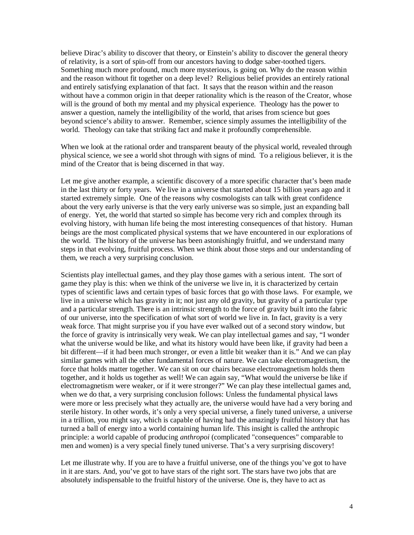believe Dirac's ability to discover that theory, or Einstein's ability to discover the general theory of relativity, is a sort of spin-off from our ancestors having to dodge saber-toothed tigers. Something much more profound, much more mysterious, is going on. Why do the reason within and the reason without fit together on a deep level? Religious belief provides an entirely rational and entirely satisfying explanation of that fact. It says that the reason within and the reason without have a common origin in that deeper rationality which is the reason of the Creator, whose will is the ground of both my mental and my physical experience. Theology has the power to answer a question, namely the intelligibility of the world, that arises from science but goes beyond science's ability to answer. Remember, science simply assumes the intelligibility of the world. Theology can take that striking fact and make it profoundly comprehensible.

When we look at the rational order and transparent beauty of the physical world, revealed through physical science, we see a world shot through with signs of mind. To a religious believer, it is the mind of the Creator that is being discerned in that way.

Let me give another example, a scientific discovery of a more specific character that's been made in the last thirty or forty years. We live in a universe that started about 15 billion years ago and it started extremely simple. One of the reasons why cosmologists can talk with great confidence about the very early universe is that the very early universe was so simple, just an expanding ball of energy. Yet, the world that started so simple has become very rich and complex through its evolving history, with human life being the most interesting consequences of that history. Human beings are the most complicated physical systems that we have encountered in our explorations of the world. The history of the universe has been astonishingly fruitful, and we understand many steps in that evolving, fruitful process. When we think about those steps and our understanding of them, we reach a very surprising conclusion.

Scientists play intellectual games, and they play those games with a serious intent. The sort of game they play is this: when we think of the universe we live in, it is characterized by certain types of scientific laws and certain types of basic forces that go with those laws. For example, we live in a universe which has gravity in it; not just any old gravity, but gravity of a particular type and a particular strength. There is an intrinsic strength to the force of gravity built into the fabric of our universe, into the specification of what sort of world we live in. In fact, gravity is a very weak force. That might surprise you if you have ever walked out of a second story window, but the force of gravity is intrinsically very weak. We can play intellectual games and say, "I wonder what the universe would be like, and what its history would have been like, if gravity had been a bit different—if it had been much stronger, or even a little bit weaker than it is." And we can play similar games with all the other fundamental forces of nature. We can take electromagnetism, the force that holds matter together. We can sit on our chairs because electromagnetism holds them together, and it holds us together as well! We can again say, "What would the universe be like if electromagnetism were weaker, or if it were stronger?" We can play these intellectual games and, when we do that, a very surprising conclusion follows: Unless the fundamental physical laws were more or less precisely what they actually are, the universe would have had a very boring and sterile history. In other words, it's only a very special universe, a finely tuned universe, a universe in a trillion, you might say, which is capable of having had the amazingly fruitful history that has turned a ball of energy into a world containing human life. This insight is called the anthropic principle: a world capable of producing *anthropoi* (complicated "consequences" comparable to men and women) is a very special finely tuned universe. That's a very surprising discovery!

Let me illustrate why. If you are to have a fruitful universe, one of the things you've got to have in it are stars. And, you've got to have stars of the right sort. The stars have two jobs that are absolutely indispensable to the fruitful history of the universe. One is, they have to act as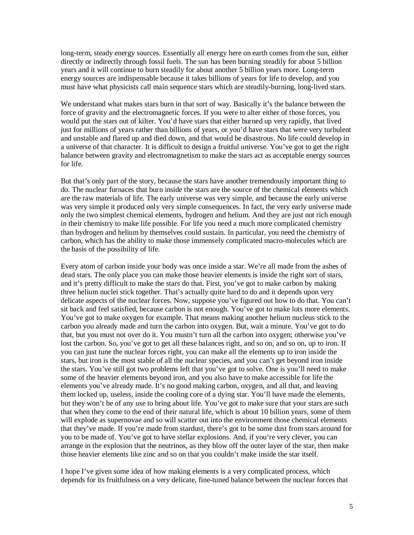long-term, steady energy sources. Essentially all energy here on earth comes from the sun, either directly or indirectly through fossil fuels. The sun has been burning steadily for about 5 billion years and it will continue to burn steadily for about another 5 billion years more. Long-term energy sources are indispensable because it takes billions of years for life to develop, and you must have what physicists call main sequence stars which are steadily-burning, long-lived stars.

We understand what makes stars burn in that sort of way. Basically it's the balance between the force of gravity and the electromagnetic forces. If you were to alter either of those forces, you would put the stars out of kilter. You'd have stars that either burned up very rapidly, that lived just for millions of years rather than billions of years, or you'd have stars that were very turbulent and unstable and flared up and died down, and that would be disastrous. No life could develop in a universe of that character. It is difficult to design a fruitful universe. You've got to get the right balance between gravity and electromagnetism to make the stars act as acceptable energy sources for life.

But that's only part of the story, because the stars have another tremendously important thing to do. The nuclear furnaces that burn inside the stars are the source of the chemical elements which are the raw materials of life. The early universe was very simple, and because the early universe was very simple it produced only very simple consequences. In fact, the very early universe made only the two simplest chemical elements, hydrogen and helium. And they are just not rich enough in their chemistry to make life possible. For life you need a much more complicated chemistry than hydrogen and helium by themselves could sustain. In particular, you need the chemistry of carbon, which has the ability to make those immensely complicated macro-molecules which are the basis of the possibility of life.

Every atom of carbon inside your body was once inside a star. We're all made from the ashes of dead stars. The only place you can make those heavier elements is inside the right sort of stars, and it's pretty difficult to make the stars do that. First, you've got to make carbon by making three helium nuclei stick together. That's actually quite hard to do and it depends upon very delicate aspects of the nuclear forces. Now, suppose you've figured out how to do that. You can't sit back and feel satisfied, because carbon is not enough. You've got to make lots more elements. You've got to make oxygen for example. That means making another helium nucleus stick to the carbon you already made and turn the carbon into oxygen. But, wait a minute. You've got to do that, but you must not over do it. You mustn't turn all the carbon into oxygen; otherwise you've lost the carbon. So, you've got to get all these balances right, and so on, and so on, up to iron. If you can just tune the nuclear forces right, you can make all the elements up to iron inside the stars, but iron is the most stable of all the nuclear species, and you can't get beyond iron inside the stars. You've still got two problems left that you've got to solve. One is you'll need to make some of the heavier elements beyond iron, and you also have to make accessible for life the elements you've already made. It's no good making carbon, oxygen, and all that, and leaving them locked up, useless, inside the cooling core of a dying star. You'll have made the elements, but they won't be of any use to bring about life. You've got to make sure that your stars are such that when they come to the end of their natural life, which is about 10 billion years, some of them will explode as supernovae and so will scatter out into the environment those chemical elements that they've made. If you're made from stardust, there's got to be some dust from stars around for you to be made of. You've got to have stellar explosions. And, if you're very clever, you can arrange in the explosion that the neutrinos, as they blow off the outer layer of the star, then make those heavier elements like zinc and so on that you couldn't make inside the star itself.

I hope I've given some idea of how making elements is a very complicated process, which depends for its fruitfulness on a very delicate, fine-tuned balance between the nuclear forces that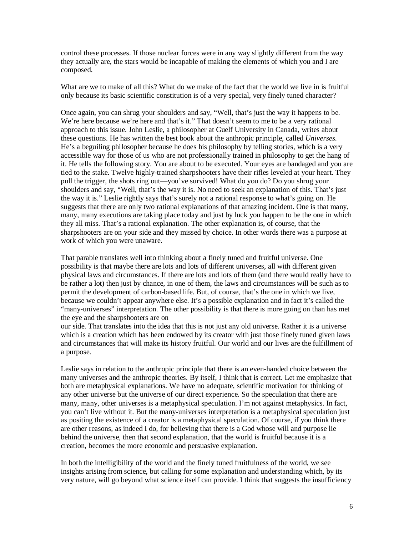control these processes. If those nuclear forces were in any way slightly different from the way they actually are, the stars would be incapable of making the elements of which you and I are composed.

What are we to make of all this? What do we make of the fact that the world we live in is fruitful only because its basic scientific constitution is of a very special, very finely tuned character?

Once again, you can shrug your shoulders and say, "Well, that's just the way it happens to be. We're here because we're here and that's it." That doesn't seem to me to be a very rational approach to this issue. John Leslie, a philosopher at Guelf University in Canada, writes about these questions. He has written the best book about the anthropic principle, called *Universes.*  He's a beguiling philosopher because he does his philosophy by telling stories, which is a very accessible way for those of us who are not professionally trained in philosophy to get the hang of it. He tells the following story. You are about to be executed. Your eyes are bandaged and you are tied to the stake. Twelve highly-trained sharpshooters have their rifles leveled at your heart. They pull the trigger, the shots ring out—you've survived! What do you do? Do you shrug your shoulders and say, "Well, that's the way it is. No need to seek an explanation of this. That's just the way it is." Leslie rightly says that's surely not a rational response to what's going on. He suggests that there are only two rational explanations of that amazing incident. One is that many, many, many executions are taking place today and just by luck you happen to be the one in which they all miss. That's a rational explanation. The other explanation is, of course, that the sharpshooters are on your side and they missed by choice. In other words there was a purpose at work of which you were unaware.

That parable translates well into thinking about a finely tuned and fruitful universe. One possibility is that maybe there are lots and lots of different universes, all with different given physical laws and circumstances. If there are lots and lots of them (and there would really have to be rather a lot) then just by chance, in one of them, the laws and circumstances will be such as to permit the development of carbon-based life. But, of course, that's the one in which we live, because we couldn't appear anywhere else. It's a possible explanation and in fact it's called the "many-universes" interpretation. The other possibility is that there is more going on than has met the eye and the sharpshooters are on

our side. That translates into the idea that this is not just any old universe. Rather it is a universe which is a creation which has been endowed by its creator with just those finely tuned given laws and circumstances that will make its history fruitful. Our world and our lives are the fulfillment of a purpose.

Leslie says in relation to the anthropic principle that there is an even-handed choice between the many universes and the anthropic theories. By itself, I think that is correct. Let me emphasize that both are metaphysical explanations. We have no adequate, scientific motivation for thinking of any other universe but the universe of our direct experience. So the speculation that there are many, many, other universes is a metaphysical speculation. I'm not against metaphysics. In fact, you can't live without it. But the many-universes interpretation is a metaphysical speculation just as positing the existence of a creator is a metaphysical speculation. Of course, if you think there are other reasons, as indeed I do, for believing that there is a God whose will and purpose lie behind the universe, then that second explanation, that the world is fruitful because it is a creation, becomes the more economic and persuasive explanation.

In both the intelligibility of the world and the finely tuned fruitfulness of the world, we see insights arising from science, but calling for some explanation and understanding which, by its very nature, will go beyond what science itself can provide. I think that suggests the insufficiency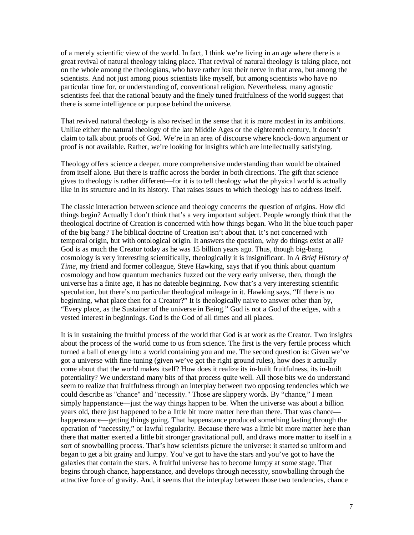of a merely scientific view of the world. In fact, I think we're living in an age where there is a great revival of natural theology taking place. That revival of natural theology is taking place, not on the whole among the theologians, who have rather lost their nerve in that area, but among the scientists. And not just among pious scientists like myself, but among scientists who have no particular time for, or understanding of, conventional religion. Nevertheless, many agnostic scientists feel that the rational beauty and the finely tuned fruitfulness of the world suggest that there is some intelligence or purpose behind the universe.

That revived natural theology is also revised in the sense that it is more modest in its ambitions. Unlike either the natural theology of the late Middle Ages or the eighteenth century, it doesn't claim to talk about proofs of God. We're in an area of discourse where knock-down argument or proof is not available. Rather, we're looking for insights which are intellectually satisfying.

Theology offers science a deeper, more comprehensive understanding than would be obtained from itself alone. But there is traffic across the border in both directions. The gift that science gives to theology is rather different—for it is to tell theology what the physical world is actually like in its structure and in its history. That raises issues to which theology has to address itself.

The classic interaction between science and theology concerns the question of origins. How did things begin? Actually I don't think that's a very important subject. People wrongly think that the theological doctrine of Creation is concerned with how things began. Who lit the blue touch paper of the big bang? The biblical doctrine of Creation isn't about that. It's not concerned with temporal origin, but with ontological origin. It answers the question, why do things exist at all? God is as much the Creator today as he was 15 billion years ago. Thus, though big-bang cosmology is very interesting scientifically, theologically it is insignificant. In *A Brief History of Time,* my friend and former colleague, Steve Hawking, says that if you think about quantum cosmology and how quantum mechanics fuzzed out the very early universe, then, though the universe has a finite age, it has no dateable beginning. Now that's a very interesting scientific speculation, but there's no particular theological mileage in it. Hawking says, "If there is no beginning, what place then for a Creator?" It is theologically naive to answer other than by, "Every place, as the Sustainer of the universe in Being." God is not a God of the edges, with a vested interest in beginnings. God is the God of all times and all places.

It is in sustaining the fruitful process of the world that God is at work as the Creator. Two insights about the process of the world come to us from science. The first is the very fertile process which turned a ball of energy into a world containing you and me. The second question is: Given we've got a universe with fine-tuning (given we've got the right ground rules), how does it actually come about that the world makes itself? How does it realize its in-built fruitfulness, its in-built potentiality? We understand many bits of that process quite well. All those bits we do understand seem to realize that fruitfulness through an interplay between two opposing tendencies which we could describe as "chance" and "necessity." Those are slippery words. By "chance," I mean simply happenstance—just the way things happen to be. When the universe was about a billion years old, there just happened to be a little bit more matter here than there. That was chance happenstance—getting things going. That happenstance produced something lasting through the operation of "necessity," or lawful regularity. Because there was a little bit more matter here than there that matter exerted a little bit stronger gravitational pull, and draws more matter to itself in a sort of snowballing process. That's how scientists picture the universe: it started so uniform and began to get a bit grainy and lumpy. You've got to have the stars and you've got to have the galaxies that contain the stars. A fruitful universe has to become lumpy at some stage. That begins through chance, happenstance, and develops through necessity, snowballing through the attractive force of gravity. And, it seems that the interplay between those two tendencies, chance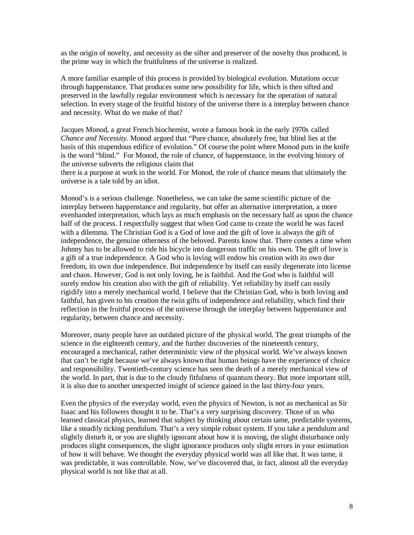as the origin of novelty, and necessity as the sifter and preserver of the novelty thus produced, is the prime way in which the fruitfulness of the universe is realized.

A more familiar example of this process is provided by biological evolution. Mutations occur through happenstance. That produces some new possibility for life, which is then sifted and preserved in the lawfully regular environment which is necessary for the operation of natural selection. In every stage of the fruitful history of the universe there is a interplay between chance and necessity. What do we make of that?

Jacques Monod, a great French biochemist, wrote a famous book in the early 1970s called *Chance and Necessity.* Monod argued that "Pure chance, absolutely free, but blind lies at the basis of this stupendous edifice of evolution." Of course the point where Monod puts in the knife is the word "blind." For Monod, the role of chance, of happenstance, in the evolving history of the universe subverts the religious claim that

there is a purpose at work in the world. For Monod, the role of chance means that ultimately the universe is a tale told by an idiot.

Monod's is a serious challenge. Nonetheless, we can take the same scientific picture of the interplay between happenstance and regularity, but offer an alternative interpretation, a more evenhanded interpretation, which lays as much emphasis on the necessary half as upon the chance half of the process. I respectfully suggest that when God came to create the world he was faced with a dilemma. The Christian God is a God of love and the gift of love is always the gift of independence, the genuine otherness of the beloved. Parents know that. There comes a time when Johnny has to be allowed to ride his bicycle into dangerous traffic on his own. The gift of love is a gift of a true independence. A God who is loving will endow his creation with its own due freedom, its own due independence. But independence by itself can easily degenerate into license and chaos. However, God is not only loving, he is faithful. And the God who is faithful will surely endow his creation also with the gift of reliability. Yet reliability by itself can easily rigidify into a merely mechanical world. I believe that the Christian God, who is both loving and faithful, has given to his creation the twin gifts of independence and reliability, which find their reflection in the fruitful process of the universe through the interplay between happenstance and regularity, between chance and necessity.

Moreover, many people have an outdated picture of the physical world. The great triumphs of the science in the eighteenth century, and the further discoveries of the nineteenth century, encouraged a mechanical, rather deterministic view of the physical world. We've always known that can't be right because we've always known that human beings have the experience of choice and responsibility. Twentieth-century science has seen the death of a merely mechanical view of the world. In part, that is due to the cloudy fitfulness of quantum theory. But more important still, it is also due to another unexpected insight of science gained in the last thirty-four years.

Even the physics of the everyday world, even the physics of Newton, is not as mechanical as Sir Isaac and his followers thought it to be. That's a very surprising discovery. Those of us who learned classical physics, learned that subject by thinking about certain tame, predictable systems, like a steadily ticking pendulum. That's a very simple robust system. If you take a pendulum and slightly disturb it, or you are slightly ignorant about how it is moving, the slight disturbance only produces slight consequences, the slight ignorance produces only slight errors in your estimation of how it will behave. We thought the everyday physical world was all like that. It was tame, it was predictable, it was controllable. Now, we've discovered that, in fact, almost all the everyday physical world is not like that at all.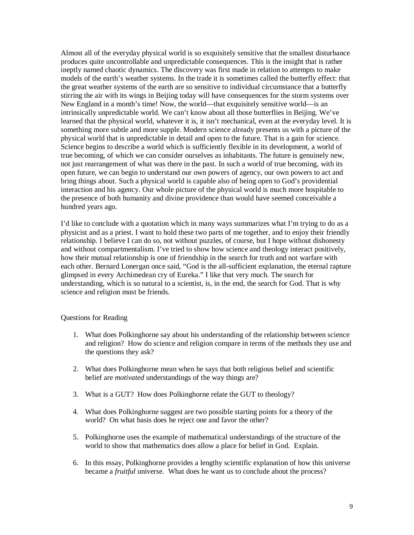Almost all of the everyday physical world is so exquisitely sensitive that the smallest disturbance produces quite uncontrollable and unpredictable consequences. This is the insight that is rather ineptly named chaotic dynamics. The discovery was first made in relation to attempts to make models of the earth's weather systems. In the trade it is sometimes called the butterfly effect: that the great weather systems of the earth are so sensitive to individual circumstance that a butterfly stirring the air with its wings in Beijing today will have consequences for the storm systems over New England in a month's time! Now, the world—that exquisitely sensitive world—is an intrinsically unpredictable world. We can't know about all those butterflies in Beijing. We've learned that the physical world, whatever it is, it isn't mechanical, even at the everyday level. It is something more subtle and more supple. Modern science already presents us with a picture of the physical world that is unpredictable in detail and open to the future. That is a gain for science. Science begins to describe a world which is sufficiently flexible in its development, a world of true becoming, of which we can consider ourselves as inhabitants. The future is genuinely new, not just rearrangement of what was there in the past. In such a world of true becoming, with its open future, we can begin to understand our own powers of agency, our own powers to act and bring things about. Such a physical world is capable also of being open to God's providential interaction and his agency. Our whole picture of the physical world is much more hospitable to the presence of both humanity and divine providence than would have seemed conceivable a hundred years ago.

I'd like to conclude with a quotation which in many ways summarizes what I'm trying to do as a physicist and as a priest. I want to hold these two parts of me together, and to enjoy their friendly relationship. I believe I can do so, not without puzzles, of course, but I hope without dishonesty and without compartmentalism. I've tried to show how science and theology interact positively, how their mutual relationship is one of friendship in the search for truth and not warfare with each other. Bernard Lonergan once said, "God is the all-sufficient explanation, the eternal rapture glimpsed in every Archimedean cry of Eureka." I like that very much. The search for understanding, which is so natural to a scientist, is, in the end, the search for God. That is why science and religion must be friends.

## Questions for Reading

- 1. What does Polkinghorne say about his understanding of the relationship between science and religion? How do science and religion compare in terms of the methods they use and the questions they ask?
- 2. What does Polkinghorne mean when he says that both religious belief and scientific belief are *motivated* understandings of the way things are?
- 3. What is a GUT? How does Polkinghorne relate the GUT to theology?
- 4. What does Polkinghorne suggest are two possible starting points for a theory of the world? On what basis does he reject one and favor the other?
- 5. Polkinghorne uses the example of mathematical understandings of the structure of the world to show that mathematics does allow a place for belief in God. Explain.
- 6. In this essay, Polkinghorne provides a lengthy scientific explanation of how this universe became a *fruitful* universe. What does he want us to conclude about the process?